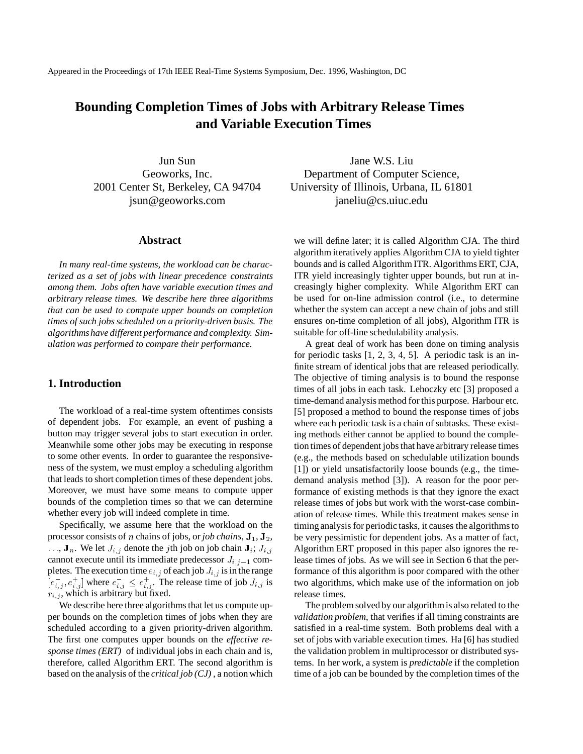Appeared in the Proceedings of 17th IEEE Real-Time Systems Symposium, Dec. 1996, Washington, DC

# **Bounding Completion Times of Jobs with Arbitrary Release Times and Variable Execution Times**

Jun Sun Geoworks, Inc. 2001 Center St, Berkeley, CA 94704 jsun@geoworks.com

### **Abstract**

*In many real-time systems, the workload can be characterized as a set of jobs with linear precedence constraints among them. Jobs often have variable execution times and arbitrary release times. We describe here three algorithms that can be used to compute upper bounds on completion times of such jobs scheduled on a priority-driven basis. The algorithmshave different performance and complexity. Simulation was performed to compare their performance.*

# **1. Introduction**

The workload of a real-time system oftentimes consists of dependent jobs. For example, an event of pushing a button may trigger several jobs to start execution in order. Meanwhile some other jobs may be executing in response to some other events. In order to guarantee the responsiveness of the system, we must employ a scheduling algorithm that leads to short completion times of these dependent jobs. Moreover, we must have some means to compute upper bounds of the completion times so that we can determine whether every job will indeed complete in time.

Specifically, we assume here that the workload on the processor consists of *n* chains of jobs, or *job chains*,  $J_1, J_2$ ,  $\ldots$ ,  $\mathbf{J}_n$ . We let  $J_{i,j}$  denote the *j*th job on job chain  $\mathbf{J}_i$ ;  $J_{i,j}$ cannot execute until its immediate predecessor  $J_{i,j-1}$  completes. The execution time  $e_{i,j}$  of each job  $J_{i,j}$  is in the range  $[e_{i,j}^-, e_{i,j}^+]$  where  $e_{i,j}^- \leq e_{i,j}^+$ . The release time of job  $J_{i,j}$  is  $r_{i,j}$ , which is arbitrary but fixed.

We describe here three algorithms that let us compute upper bounds on the completion times of jobs when they are scheduled according to a given priority-driven algorithm. The first one computes upper bounds on the *effective response times (ERT)* of individual jobs in each chain and is, therefore, called Algorithm ERT. The second algorithm is based on the analysis of the *critical job (CJ)* , a notion which

Jane W.S. Liu Department of Computer Science, University of Illinois, Urbana, IL 61801 janeliu@cs.uiuc.edu

we will define later; it is called Algorithm CJA. The third algorithm iteratively applies Algorithm CJA to yield tighter bounds and is called Algorithm ITR. Algorithms ERT, CJA, ITR yield increasingly tighter upper bounds, but run at increasingly higher complexity. While Algorithm ERT can be used for on-line admission control (i.e., to determine whether the system can accept a new chain of jobs and still ensures on-time completion of all jobs), Algorithm ITR is suitable for off-line schedulability analysis.

A great deal of work has been done on timing analysis for periodic tasks [1, 2, 3, 4, 5]. A periodic task is an infinite stream of identical jobs that are released periodically. The objective of timing analysis is to bound the response times of all jobs in each task. Lehoczky etc [3] proposed a time-demand analysis method for this purpose. Harbour etc. [5] proposed a method to bound the response times of jobs where each periodic task is a chain of subtasks. These existing methods either cannot be applied to bound the completion times of dependent jobs that have arbitrary release times (e.g., the methods based on schedulable utilization bounds [1]) or yield unsatisfactorily loose bounds (e.g., the timedemand analysis method [3]). A reason for the poor performance of existing methods is that they ignore the exact release times of jobs but work with the worst-case combination of release times. While this treatment makes sense in timing analysis for periodic tasks, it causes the algorithms to be very pessimistic for dependent jobs. As a matter of fact, Algorithm ERT proposed in this paper also ignores the release times of jobs. As we will see in Section 6 that the performance of this algorithm is poor compared with the other two algorithms, which make use of the information on job release times.

The problem solved by our algorithm is also related to the *validation problem*, that verifies if all timing constraints are satisfied in a real-time system. Both problems deal with a set of jobs with variable execution times. Ha [6] has studied the validation problem in multiprocessor or distributed systems. In her work, a system is *predictable* if the completion time of a job can be bounded by the completion times of the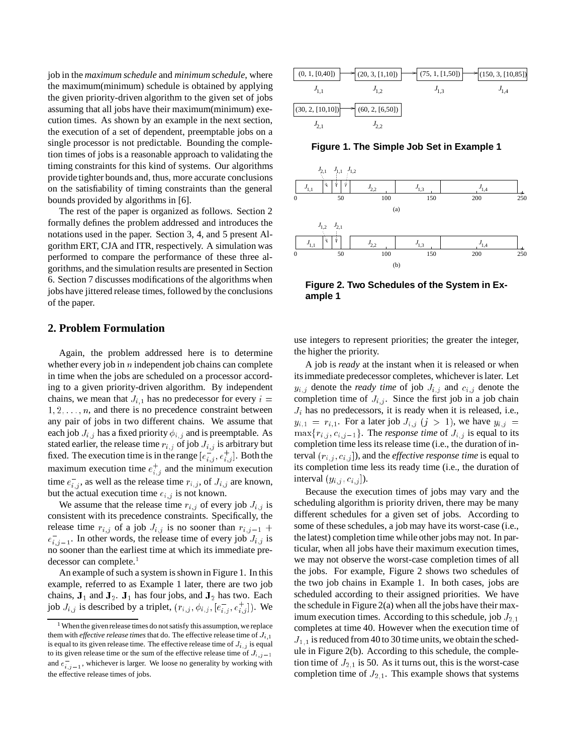job in the *maximum schedule* and *minimum schedule*, where the maximum(minimum) schedule is obtained by applying the given priority-driven algorithm to the given set of jobs assuming that all jobs have their maximum(minimum) execution times. As shown by an example in the next section, the execution of a set of dependent, preemptable jobs on a single processor is not predictable. Bounding the completion times of jobs is a reasonable approach to validating the timing constraints for this kind of systems. Our algorithms provide tighter bounds and, thus, more accurate conclusions on the satisfiability of timing constraints than the general bounds provided by algorithms in [6].

The rest of the paper is organized as follows. Section 2 formally defines the problem addressed and introduces the notations used in the paper. Section 3, 4, and 5 present Algorithm ERT, CJA and ITR, respectively. A simulation was performed to compare the performance of these three algorithms, and the simulation results are presented in Section 6. Section 7 discusses modifications of the algorithms when jobs have jittered release times, followed by the conclusions of the paper.

### **2. Problem Formulation**

Again, the problem addressed here is to determine whether every job in  $n$  independent job chains can complete in time when the jobs are scheduled on a processor according to a given priority-driven algorithm. By independent chains, we mean that  $J_{i,1}$  has no predecessor for every  $i =$  $1, 2, \ldots, n$ , and there is no precedence constraint between any pair of jobs in two different chains. We assume that each job  $J_{i,j}$  has a fixed priority  $\phi_{i,j}$  and is preemptable. As stated earlier, the release time  $r_{i,j}$  of job  $J_{i,j}$  is arbitrary but fixed. The execution time is in the range  $[e_{i,j}^-, e_{i,j}^+]$ . Both the maximum execution time  $e_{i,j}^+$  and the minimum execution time  $e_{i,j}^-$ , as well as the release time  $r_{i,j}$ , of  $J_{i,j}$  are known, but the actual execution time  $e_{i,j}$  is not known.

We assume that the release time  $r_{i,j}$  of every job  $J_{i,j}$  is consistent with its precedence constraints. Specifically, the release time  $r_{i,j}$  of a job  $J_{i,j}$  is no sooner than  $r_{i,j-1}$  +  $e_{i,j-1}^-$ . In other words, the release time of every job  $J_{i,j}$  is no sooner than the earliest time at which its immediate predecessor can complete.<sup>1</sup>

An example of such a system is shown in Figure 1. In this example, referred to as Example 1 later, there are two job chains,  $J_1$  and  $J_2$ .  $J_1$  has four jobs, and  $J_2$  has two. Each job  $J_{i,j}$  is described by a triplet,  $(r_{i,j}, \phi_{i,j}, [e_{i,j}^-, e_{i,j}^+])$ . We



**Figure 1. The Simple Job Set in Example 1**



**Figure 2. Two Schedules of the System in Example 1**

use integers to represent priorities; the greater the integer, the higher the priority.

A job is *ready* at the instant when it is released or when its immediate predecessor completes, whichever is later. Let  $y_{i,j}$  denote the *ready time* of job  $J_{i,j}$  and  $c_{i,j}$  denote the completion time of  $J_{i,j}$ . Since the first job in a job chain  $J_i$  has no predecessors, it is ready when it is released, i.e.,  $y_{i,1} = r_{i,1}$ . For a later job  $J_{i,j}$   $(j > 1)$ , we have  $y_{i,j}$  $\max\{r_{i,j}, c_{i,j-1}\}\.$  The *response time* of  $J_{i,j}$  is equal to its completion time less its release time (i.e., the duration of interval  $(r_{i,j}, c_{i,j} ]$ , and the *effective response time* is equal to its completion time less its ready time (i.e., the duration of interval  $(y_{i,j}, c_{i,j})$ ).

Because the execution times of jobs may vary and the scheduling algorithm is priority driven, there may be many different schedules for a given set of jobs. According to some of these schedules, a job may have its worst-case (i.e., the latest) completion time while other jobs may not. In particular, when all jobs have their maximum execution times, we may not observe the worst-case completion times of all the jobs. For example, Figure 2 shows two schedules of the two job chains in Example 1. In both cases, jobs are scheduled according to their assigned priorities. We have the schedule in Figure 2(a) when all the jobs have their maximum execution times. According to this schedule, job  $J_{2,1}$ completes at time 40. However when the execution time of  $J_{1,1}$  is reduced from 40 to 30 time units, we obtain the schedule in Figure 2(b). According to this schedule, the completion time of  $J_{2,1}$  is 50. As it turns out, this is the worst-case completion time of  $J_{2,1}$ . This example shows that systems

 $1$  When the given release times do not satisfy this assumption, we replace them with *effective release times* that do. The effective release time of  $J_{i,1}$ is equal to its given release time. The effective release time of  $J_{i,j}$  is equal to its given release time or the sum of the effective release time of  $J_{i,j-1}$ and  $e_{i,j-1}^-$ , whichever is larger. We loose no generality by working with the effective release times of jobs.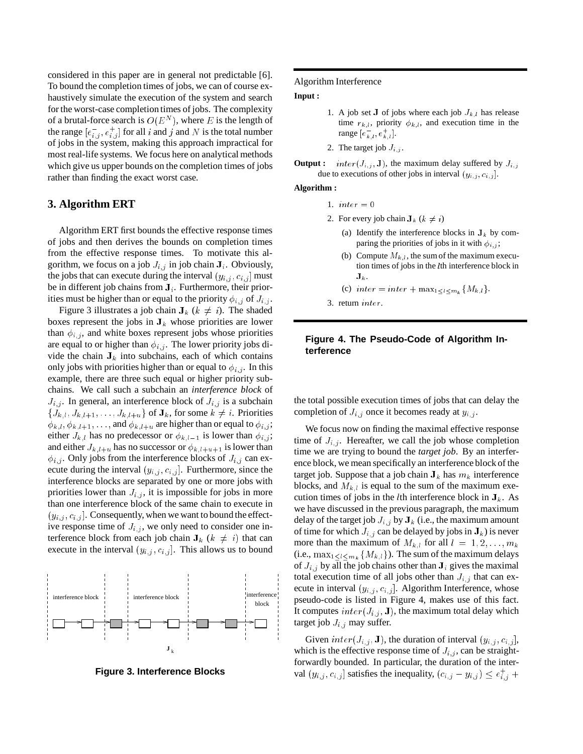considered in this paper are in general not predictable [6]. To bound the completion times of jobs, we can of course exhaustively simulate the execution of the system and search for the worst-case completion times of jobs. The complexity of a brutal-force search is  $O(E^N)$ , where E is the length of the range  $[e_{i,j}^{-}, e_{i,j}^{+}]$  for all i and j and N is the total number of jobs in the system, making this approach impractical for most real-life systems. We focus here on analytical methods which give us upper bounds on the completion times of jobs rather than finding the exact worst case.

# **3. Algorithm ERT**

Algorithm ERT first bounds the effective response times of jobs and then derives the bounds on completion times from the effective response times. To motivate this algorithm, we focus on a job  $J_{i,j}$  in job chain  $J_i$ . Obviously, the jobs that can execute during the interval  $(y_{i,j}, c_{i,j}]$  must be in different job chains from  $J_i$ . Furthermore, their priorities must be higher than or equal to the priority  $\phi_{i,j}$  of  $J_{i,j}$ .

Figure 3 illustrates a job chain  $J_k$  ( $k \neq i$ ). The shaded boxes represent the jobs in  $J_k$  whose priorities are lower than  $\phi_{i,j}$ , and white boxes represent jobs whose priorities are equal to or higher than  $\phi_{i,j}$ . The lower priority jobs divide the chain  $J_k$  into subchains, each of which contains only jobs with priorities higher than or equal to  $\phi_{i,j}$ . In this example, there are three such equal or higher priority subchains. We call such a subchain an *interference block* of  $J_{i,j}$ . In general, an interference block of  $J_{i,j}$  is a subchain  $\{J_{k,l}, J_{k,l+1}, \ldots, J_{k,l+u}\}\$  of  $\mathbf{J}_k$ , for some  $k \neq i$ . Priorities  $\phi_{k,l}, \phi_{k,l+1}, \ldots$ , and  $\phi_{k,l+u}$  are higher than or equal to  $\phi_{i,j}$ ; either  $J_{k,l}$  has no predecessor or  $\phi_{k,l-1}$  is lower than  $\phi_{i,j}$ ; and either  $J_{k,l+u}$  has no successor or  $\phi_{k,l+u+1}$  is lower than  $\phi_{i,j}$ . Only jobs from the interference blocks of  $J_{i,j}$  can execute during the interval  $(y_{i,j}, c_{i,j}]$ . Furthermore, since the interference blocks are separated by one or more jobs with priorities lower than  $J_{i,j}$ , it is impossible for jobs in more than one interference block of the same chain to execute in  $(y_{i,j}, c_{i,j}]$ . Consequently, when we want to bound the effective response time of  $J_{i,j}$ , we only need to consider one interference block from each job chain  $J_k$  ( $k \neq i$ ) that can execute in the interval  $(y_{i,j}, c_{i,j}]$ . This allows us to bound



**Figure 3. Interference Blocks**

#### Algorithm Interference

#### **Input :**

- 1. A job set J of jobs where each job  $J_{k,l}$  has release time  $r_{k,l}$ , priority  $\phi_{k,l}$ , and execution time in the range  $[e_{k,l}^-, e_{k,l}^+]$ .
- 2. The target job  $J_{i,j}$ .

**Output :**  $inter(J_{i,j}, \mathbf{J})$ , the maximum delay suffered by  $J_{i,j}$ due to executions of other jobs in interval  $(y_{i,j}, c_{i,j}]$ .

### **Algorithm :**

- 1.  $inter = 0$
- 2. For every job chain  $J_k$  ( $k \neq i$ )
	- (a) Identify the interference blocks in  $J_k$  by comparing the priorities of jobs in it with  $\phi_{i,j}$ ;
	- (b) Compute  $M_{k,l}$ , the sum of the maximum execution times of jobs in the <sup>l</sup>th interference block in  $\mathbf{J}_k$  .
	- (c)  $inter = inter + max_{1 \leq l \leq m_k} \{M_{k,l}\}.$
- 3. return inter.

# **Figure 4. The Pseudo-Code of Algorithm Interference**

the total possible execution times of jobs that can delay the completion of  $J_{i,j}$  once it becomes ready at  $y_{i,j}$ .

We focus now on finding the maximal effective response time of  $J_{i,j}$ . Hereafter, we call the job whose completion time we are trying to bound the *target job*. By an interference block, we mean specifically an interference block of the target job. Suppose that a job chain  $J_k$  has  $m_k$  interference blocks, and  $M_{k,l}$  is equal to the sum of the maximum execution times of jobs in the *l*th interference block in  $J_k$ . As we have discussed in the previous paragraph, the maximum delay of the target job  $J_{i,j}$  by  $J_k$  (i.e., the maximum amount of time for which  $J_{i,j}$  can be delayed by jobs in  $J_k$ ) is never more than the maximum of  $M_{k,l}$  for all  $l = 1, 2, \ldots, m_k$ (i.e.,  $\max_{1 \leq l \leq m_k} \{M_{k,l}\}\)$ . The sum of the maximum delays of  $J_{i,j}$  by all the job chains other than  $J_i$  gives the maximal total execution time of all jobs other than  $J_{i,j}$  that can execute in interval  $(y_{i,j}, c_{i,j}]$ . Algorithm Interference, whose pseudo-code is listed in Figure 4, makes use of this fact. It computes  $inter(J_{i,j}, \mathbf{J})$ , the maximum total delay which target job  $J_{i,j}$  may suffer.

Given  $inter(J_{i,j}, \mathbf{J})$ , the duration of interval  $(y_{i,j}, c_{i,j}],$ which is the effective response time of  $J_{i,j}$ , can be straightforwardly bounded. In particular, the duration of the interval  $(y_{i,j}, c_{i,j}]$  satisfies the inequality,  $(c_{i,j} - y_{i,j}) \leq e_{i,j}^+ +$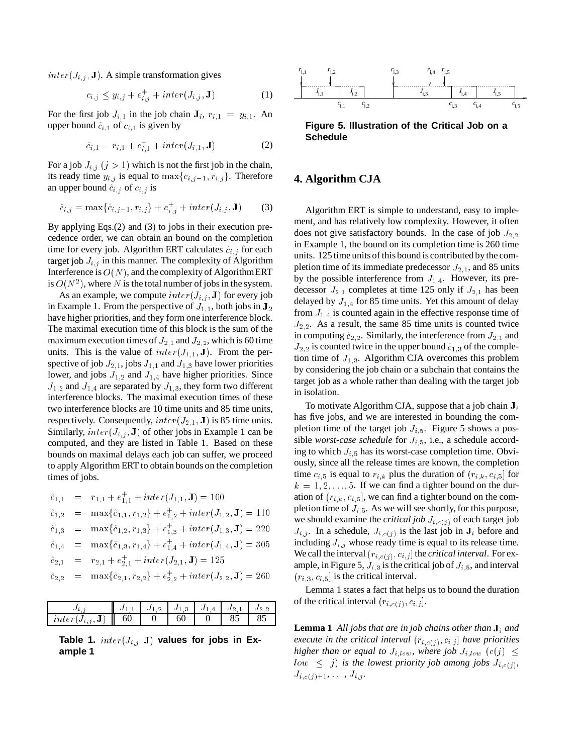$inter(J_{i,j}, \mathbf{J})$ . A simple transformation gives

$$
c_{i,j} \le y_{i,j} + e_{i,j}^+ + inter(J_{i,j}, \mathbf{J})
$$
 (1)

For the first job  $J_{i,1}$  in the job chain  $J_i$ ,  $r_{i,1} = y_{i,1}$ . An upper bound  $\hat{c}_{i,1}$  of  $c_{i,1}$  is given by

$$
\hat{e}_{i,1} = r_{i,1} + e_{i,1}^+ + inter(J_{i,1}, \mathbf{J}) \tag{2}
$$

For a job  $J_{i,j}$   $(j > 1)$  which is not the first job in the chain, its ready time  $y_{i,j}$  is equal to  $\max\{c_{i,j-1}, r_{i,j}\}$ . Therefore an upper bound  $\hat{c}_{i,j}$  of  $c_{i,j}$  is

$$
\hat{e}_{i,j} = \max\{\hat{e}_{i,j-1}, r_{i,j}\} + e_{i,j}^+ + inter(J_{i,j}, \mathbf{J})
$$
 (3)

By applying Eqs.(2) and (3) to jobs in their execution precedence order, we can obtain an bound on the completion time for every job. Algorithm ERT calculates  $\hat{e}_{i,j}$  for each target job  $J_{i,j}$  in this manner. The complexity of Algorithm Interference is  $O(N)$ , and the complexity of Algorithm ERT is  $O(N^2)$ , where N is the total number of jobs in the system.

As an example, we compute  $inter(J_{i,j}, J)$  for every job in Example 1. From the perspective of  $J_{1,1}$ , both jobs in  $J_2$ have higher priorities, and they form one interference block. The maximal execution time of this block is the sum of the maximum execution times of  $J_{2,1}$  and  $J_{2,2}$ , which is 60 time units. This is the value of  $inter(J_{1,1}, J)$ . From the perspective of job  $J_{2,1}$ , jobs  $J_{1,1}$  and  $J_{1,3}$  have lower priorities lower, and jobs  $J_{1,2}$  and  $J_{1,4}$  have higher priorities. Since  $J_{1,2}$  and  $J_{1,4}$  are separated by  $J_{1,3}$ , they form two different interference blocks. The maximal execution times of these two interference blocks are 10 time units and 85 time units, respectively. Consequently,  $inter(J_{2,1}, J)$  is 85 time units. Similarly,  $inter(J_{i,j}, \mathbf{J})$  of other jobs in Example 1 can be computed, and they are listed in Table 1. Based on these bounds on maximal delays each job can suffer, we proceed to apply Algorithm ERT to obtain bounds on the completion times of jobs.

$$
\begin{array}{rcl}\n\hat{c}_{1,1} & = & r_{1,1} + e_{1,1}^+ + inter(J_{1,1}, \mathbf{J}) = 100 \\
\hat{c}_{1,2} & = & \max\{\hat{c}_{1,1}, r_{1,2}\} + e_{1,2}^+ + inter(J_{1,2}, \mathbf{J}) = 110 \\
\hat{c}_{1,3} & = & \max\{\hat{c}_{1,2}, r_{1,3}\} + e_{1,3}^+ + inter(J_{1,3}, \mathbf{J}) = 220 \\
\hat{c}_{1,4} & = & \max\{\hat{c}_{1,3}, r_{1,4}\} + e_{1,4}^+ + inter(J_{1,4}, \mathbf{J}) = 305 \\
\hat{c}_{2,1} & = & r_{2,1} + e_{2,1}^+ + inter(J_{2,1}, \mathbf{J}) = 125 \\
\hat{c}_{2,2} & = & \max\{\hat{c}_{2,1}, r_{2,2}\} + e_{2,2}^+ + inter(J_{2,2}, \mathbf{J}) = 260\n\end{array}
$$

|                  |    | J1<br>л. | $\overline{a}$<br>J * | $\overline{A}$<br>∙∪ 1 | U  |    |
|------------------|----|----------|-----------------------|------------------------|----|----|
| inter<br>JI<br>v | 60 |          | 60                    |                        | 85 | 85 |

Table 1.  $inter(J_{i,j}, J)$  values for jobs in Ex**ample 1**



**Figure 5. Illustration of the Critical Job on a Schedule**

# **4. Algorithm CJA**

Algorithm ERT is simple to understand, easy to implement, and has relatively low complexity. However, it often does not give satisfactory bounds. In the case of job  $J_{2,2}$ in Example 1, the bound on its completion time is 260 time units. 125 time units of this bound is contributed by the completion time of its immediate predecessor  $J_{2,1}$ , and 85 units by the possible interference from  $J_{1,4}$ . However, its predecessor  $J_{2,1}$  completes at time 125 only if  $J_{2,1}$  has been delayed by  $J_{1,4}$  for 85 time units. Yet this amount of delay from  $J_{1,4}$  is counted again in the effective response time of  $J_{2,2}$ . As a result, the same 85 time units is counted twice in computing  $\hat{c}_{2,2}$ . Similarly, the interference from  $J_{2,1}$  and  $J_{2,2}$  is counted twice in the upper bound  $\hat{c}_{1,3}$  of the completion time of  $J_{1,3}$ . Algorithm CJA overcomes this problem by considering the job chain or a subchain that contains the target job as a whole rather than dealing with the target job in isolation.

To motivate Algorithm CJA, suppose that a job chain  $J_i$ has five jobs, and we are interested in bounding the completion time of the target job  $J_{i,5}$ . Figure 5 shows a possible *worst-case schedule* for  $J_{i,5}$ , i.e., a schedule according to which  $J_{i,5}$  has its worst-case completion time. Obviously, since all the release times are known, the completion time  $c_{i,5}$  is equal to  $r_{i,k}$  plus the duration of  $(r_{i,k}, c_{i,5}]$  for  $k = 1, 2, \ldots, 5$ . If we can find a tighter bound on the duration of  $(r_{i,k}, c_{i,5}]$ , we can find a tighter bound on the completion time of  $J_{i,5}$ . As we will see shortly, for this purpose, we should examine the *critical job*  $J_{i,c(j)}$  of each target job  $J_{i,j}$ . In a schedule,  $J_{i,c(j)}$  is the last job in  $J_i$  before and including  $J_{i,j}$  whose ready time is equal to its release time. We call the interval  $(r_{i,c(j)}, c_{i,j}]$  the *critical interval*. For example, in Figure 5,  $J_{i,3}$  is the critical job of  $J_{i,5}$ , and interval  $(r_{i,3}, c_{i,5}]$  is the critical interval.

Lemma 1 states a fact that helps us to bound the duration of the critical interval  $(r_{i,c(j)}, c_{i,j}]$ .

**Lemma 1** *All jobs that are in job chains other than*  $J_i$  *and execute in the critical interval*  $(r_{i, c(j)}, c_{i,j}]$  *have priorities higher than or equal to*  $J_{i,low}$ , where *job*  $J_{i,low}$   $(c(j) \leq$  $low \leq j$ ) *is the lowest priority job among jobs*  $J_{i,c(j)}$ *,*  $J_{i,c(j)+1}, \ldots, J_{i,j}.$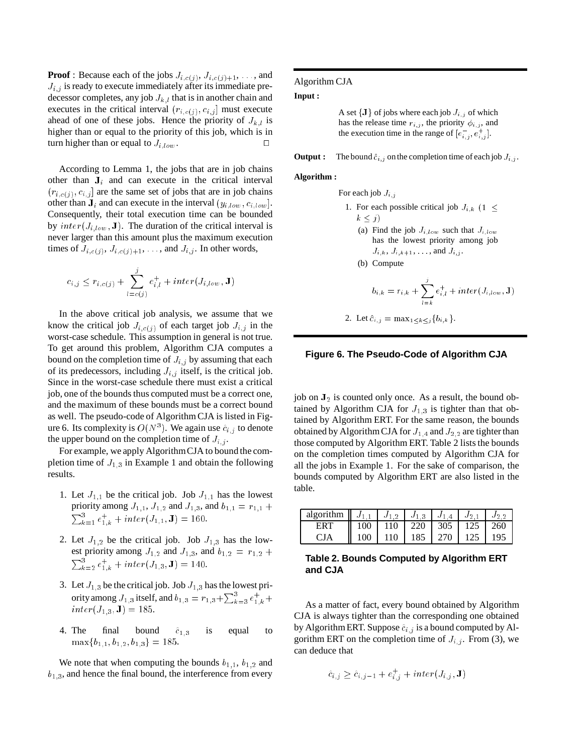**Proof** : Because each of the jobs  $J_{i,c(j)}, J_{i,c(j)+1}, \ldots$ , and  $J_{i,j}$  is ready to execute immediately after its immediate predecessor completes, any job  $J_{k,l}$  that is in another chain and executes in the critical interval  $(r_{i,c(j)}, c_{i,j}]$  must execute ahead of one of these jobs. Hence the priority of  $J_{k,i}$  is higher than or equal to the priority of this job, which is in turn higher than or equal to  $J_{i,low}$ .

According to Lemma 1, the jobs that are in job chains other than  $J_i$  and can execute in the critical interval  $(r_{i,c(j)}, c_{i,j}]$  are the same set of jobs that are in job chains other than  $J_i$  and can execute in the interval  $(y_{i,low}, c_{i,low})$ . Consequently, their total execution time can be bounded by  $inter(J_{i,low}, \mathbf{J})$ . The duration of the critical interval is never larger than this amount plus the maximum execution times of  $J_{i,c(j)}$ ,  $J_{i,c(j)+1}$ , ..., and  $J_{i,j}$ . In other words,

$$
c_{i,j} \leq r_{i,c(j)} + \sum_{l=c(j)}^{j} e_{i,l}^+ + inter(J_{i,low}, \mathbf{J})
$$

In the above critical job analysis, we assume that we know the critical job  $J_{i,c(j)}$  of each target job  $J_{i,j}$  in the worst-case schedule. This assumption in general is not true. To get around this problem, Algorithm CJA computes a bound on the completion time of  $J_{i,j}$  by assuming that each of its predecessors, including  $J_{i,j}$  itself, is the critical job. Since in the worst-case schedule there must exist a critical job, one of the bounds thus computed must be a correct one, and the maximum of these bounds must be a correct bound as well. The pseudo-code of Algorithm CJA is listed in Figure 6. Its complexity is  $O(N^3)$ . We again use  $\hat{e}_{i,j}$  to denote the upper bound on the completion time of  $J_{i,j}$ .

For example, we apply AlgorithmCJA to bound the completion time of  $J_{1,3}$  in Example 1 and obtain the following results.

- 1. Let  $J_{1,1}$  be the critical job. Job  $J_{1,1}$  has the lowest priority among  $J_{1,1}$ ,  $J_{1,2}$  and  $J_{1,3}$ , and  $b_{1,1} = r_{1,1} +$  $\sum_{k=1}^{3} e_{1,k}^{+} + inter(J_{1,1}, \mathbf{J}) = 160.$
- 2. Let  $J_{1,2}$  be the critical job. Job  $J_{1,3}$  has the lowest priority among  $J_{1,2}$  and  $J_{1,3}$ , and  $b_{1,2} = r_{1,2} +$  $\sum_{k=2}^{3} e_{1,k}^{+} + inter(J_{1,3}, \mathbf{J}) = 140.$
- 3. Let  $J_{1,3}$  be the critical job. Job  $J_{1,3}$  has the lowest priority among  $J_{1,3}$  itself, and  $b_{1,3} = r_{1,3} + \sum_{k=3}^{3} e_{1,k}^{+} +$  $inter(J_{1,3}, J) = 185.$
- 4. The final bound  $\hat{c}_{1,3}$  is equal to  $\max\{b_{1,1}, b_{1,2}, b_{1,3}\} = 185.$

We note that when computing the bounds  $b_{1,1}$ ,  $b_{1,2}$  and  $b_{1,3}$ , and hence the final bound, the interference from every

### Algorithm CJA

#### **Input :**

A set  $\{J\}$  of jobs where each job  $J_{i,j}$  of which has the release time  $r_{i,j}$ , the priority  $\phi_{i,j}$ , and the execution time in the range of  $[e_{i,j}^-, e_{i,j}^+]$ .

**Output :** The bound  $\hat{c}_{i,j}$  on the completion time of each job  $J_{i,j}$ .

#### **Algorithm :**

For each job  $J_{i,j}$ 

\n- 1. For each possible critical job 
$$
J_{i,k}
$$
  $(1 \leq k \leq j)$
\n- (a) Find the job  $J_{i,low}$  such that  $J_{i,low}$  has the lowest priority among job  $J_{i,k}, J_{i,k+1}, \ldots$ , and  $J_{i,j}$ .
\n- (b) Compute\n 
$$
b_{i,k} = r_{i,k} + \sum_{l=k}^{j} e_{i,l}^+ + inter(J_{i,low}, \mathbf{J})
$$
\n
\n

2. Let 
$$
\hat{c}_{i,j} = \max_{1 \leq k \leq j} \{b_{i,k}\}.
$$

### **Figure 6. The Pseudo-Code of Algorithm CJA**

job on  $J_2$  is counted only once. As a result, the bound obtained by Algorithm CJA for  $J_{1,3}$  is tighter than that obtained by Algorithm ERT. For the same reason, the bounds obtained by Algorithm CJA for  $J_{1,4}$  and  $J_{2,2}$  are tighter than those computed by Algorithm ERT. Table 2 lists the bounds on the completion times computed by Algorithm CJA for all the jobs in Example 1. For the sake of comparison, the bounds computed by Algorithm ERT are also listed in the table.

| <b>algorithm</b> $\parallel J_{1,1} \parallel J_{1,2} \parallel J_{1,3} \parallel J_{1,4} \parallel J_{2,1}$ |                                         |                       |  | $J_2$ 2 |
|--------------------------------------------------------------------------------------------------------------|-----------------------------------------|-----------------------|--|---------|
| ERT                                                                                                          | $\parallel$ 100   110   220   305   125 |                       |  | 260     |
| CJA                                                                                                          | $100 +$                                 | 110   185   270   125 |  | 195     |

## **Table 2. Bounds Computed by Algorithm ERT and CJA**

As a matter of fact, every bound obtained by Algorithm CJA is always tighter than the corresponding one obtained by Algorithm ERT. Suppose  $\hat{c}_{i,j}$  is a bound computed by Algorithm ERT on the completion time of  $J_{i,j}$ . From (3), we can deduce that

$$
\hat{e}_{i,j} \ge \hat{e}_{i,j-1} + e_{i,j}^+ + inter(J_{i,j}, \mathbf{J})
$$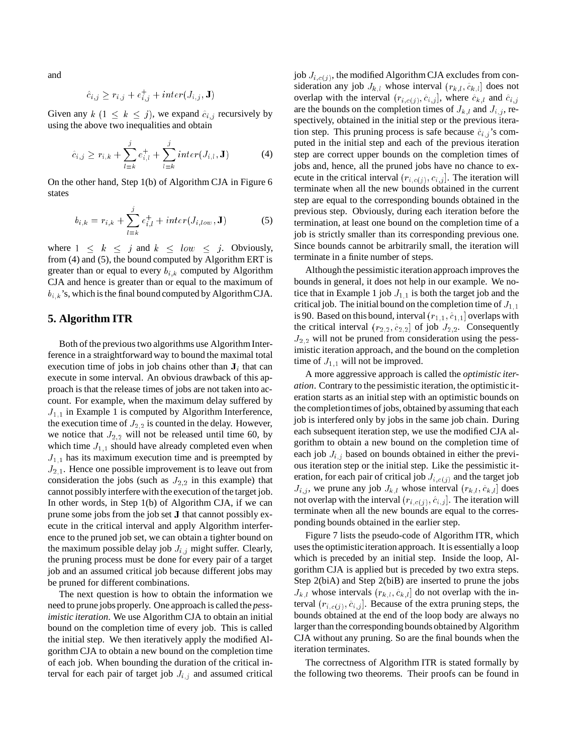and

$$
\hat{c}_{i,j} \ge r_{i,j} + e_{i,j}^+ + inter(J_{i,j}, \mathbf{J})
$$

Given any  $k$   $(1 \leq k \leq j)$ , we expand  $\hat{c}_{i,j}$  recursively by using the above two inequalities and obtain

$$
\hat{c}_{i,j} \ge r_{i,k} + \sum_{l=k}^{j} e_{i,l}^{+} + \sum_{l=k}^{j} inter(J_{i,l}, \mathbf{J})
$$
(4)

On the other hand, Step 1(b) of Algorithm CJA in Figure 6 states

$$
b_{i,k} = r_{i,k} + \sum_{l=k}^{j} e_{i,l}^{+} + inter(J_{i,low}, \mathbf{J})
$$
 (5)

where  $1 \leq k \leq j$  and  $k \leq low \leq j$ . Obviously, from (4) and (5), the bound computed by Algorithm ERT is greater than or equal to every  $b_{i,k}$  computed by Algorithm CJA and hence is greater than or equal to the maximum of  $b_{i,k}$ 's, which is the final bound computed by AlgorithmCJA.

# **5. Algorithm ITR**

Both of the previous two algorithms use Algorithm Interference in a straightforward way to bound the maximal total execution time of jobs in job chains other than  $J_i$  that can execute in some interval. An obvious drawback of this approach is that the release times of jobs are not taken into account. For example, when the maximum delay suffered by  $J_{1,1}$  in Example 1 is computed by Algorithm Interference, the execution time of  $J_{2,2}$  is counted in the delay. However, we notice that  $J_{2,2}$  will not be released until time 60, by which time  $J_{1,1}$  should have already completed even when  $J_{1,1}$  has its maximum execution time and is preempted by  $J_{2,1}$ . Hence one possible improvement is to leave out from consideration the jobs (such as  $J_{2,2}$  in this example) that cannot possibly interfere with the execution of the target job. In other words, in Step 1(b) of Algorithm CJA, if we can prune some jobs from the job set <sup>J</sup> that cannot possibly execute in the critical interval and apply Algorithm interference to the pruned job set, we can obtain a tighter bound on the maximum possible delay job  $J_{i,j}$  might suffer. Clearly, the pruning process must be done for every pair of a target job and an assumed critical job because different jobs may be pruned for different combinations.

The next question is how to obtain the information we need to prune jobs properly. One approach is called the *pessimistic iteration*. We use Algorithm CJA to obtain an initial bound on the completion time of every job. This is called the initial step. We then iteratively apply the modified Algorithm CJA to obtain a new bound on the completion time of each job. When bounding the duration of the critical interval for each pair of target job  $J_{i,j}$  and assumed critical job  $J_{i,c(j)}$ , the modified Algorithm CJA excludes from consideration any job  $J_{k,l}$  whose interval  $(r_{k,l}, \hat{c}_{k,l}]$  does not overlap with the interval  $(r_{i,c(j)}, \hat{c}_{i,j}]$ , where  $\hat{c}_{k,l}$  and  $\hat{c}_{i,j}$ are the bounds on the completion times of  $J_{k,l}$  and  $J_{i,j}$ , respectively, obtained in the initial step or the previous iteration step. This pruning process is safe because  $\hat{c}_{i,j}$ 's computed in the initial step and each of the previous iteration step are correct upper bounds on the completion times of jobs and, hence, all the pruned jobs have no chance to execute in the critical interval  $(r_{i,c(j)}, c_{i,j}]$ . The iteration will terminate when all the new bounds obtained in the current step are equal to the corresponding bounds obtained in the previous step. Obviously, during each iteration before the termination, at least one bound on the completion time of a job is strictly smaller than its corresponding previous one. Since bounds cannot be arbitrarily small, the iteration will terminate in a finite number of steps.

Althoughthe pessimistic iteration approach improves the bounds in general, it does not help in our example. We notice that in Example 1 job  $J_{1,1}$  is both the target job and the critical job. The initial bound on the completion time of  $J_{1,1}$ is 90. Based on this bound, interval  $(r_{1,1}, \hat{c}_{1,1})$  overlaps with the critical interval  $(r_{2,2}, \hat{c}_{2,2}]$  of job  $J_{2,2}$ . Consequently  $J_{2,2}$  will not be pruned from consideration using the pessimistic iteration approach, and the bound on the completion time of  $J_{1,1}$  will not be improved.

A more aggressive approach is called the *optimistic iteration*. Contrary to the pessimistic iteration, the optimistic iteration starts as an initial step with an optimistic bounds on the completiontimes of jobs, obtained by assuming that each job is interfered only by jobs in the same job chain. During each subsequent iteration step, we use the modified CJA algorithm to obtain a new bound on the completion time of each job  $J_{i,j}$  based on bounds obtained in either the previous iteration step or the initial step. Like the pessimistic iteration, for each pair of critical job  $J_{i,c(j)}$  and the target job  $J_{i,j}$ , we prune any job  $J_{k,l}$  whose interval  $(r_{k,l}, \hat{c}_{k,l}]$  does not overlap with the interval  $(r_{i,c(j)}, \hat{c}_{i,j}]$ . The iteration will terminate when all the new bounds are equal to the corresponding bounds obtained in the earlier step.

Figure 7 lists the pseudo-code of Algorithm ITR, which uses the optimisticiteration approach. It is essentially a loop which is preceded by an initial step. Inside the loop, Algorithm CJA is applied but is preceded by two extra steps. Step 2(biA) and Step 2(biB) are inserted to prune the jobs  $J_{k,l}$  whose intervals  $(r_{k,l}, \hat{c}_{k,l}]$  do not overlap with the interval  $(r_{i,c(j)}, \hat{c}_{i,j}]$ . Because of the extra pruning steps, the bounds obtained at the end of the loop body are always no larger than the corresponding bounds obtained by Algorithm CJA without any pruning. So are the final bounds when the iteration terminates.

The correctness of Algorithm ITR is stated formally by the following two theorems. Their proofs can be found in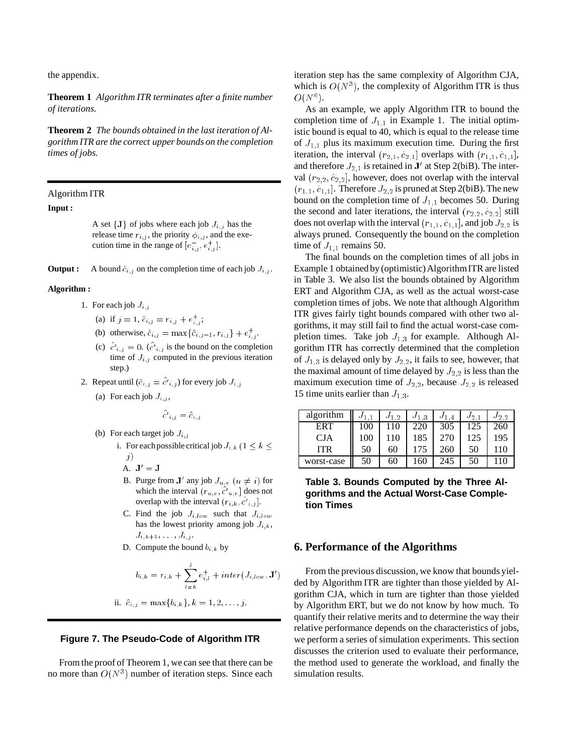the appendix.

**Theorem 1** *Algorithm ITR terminates after a finite number of iterations.*

**Theorem 2** *The bounds obtained in the last iteration of Algorithm ITR are the correct upper bounds on the completion times of jobs.*

Algorithm ITR

#### **Input :**

A set  $\{J\}$  of jobs where each job  $J_{i,j}$  has the release time  $r_{i,j}$ , the priority  $\phi_{i,j}$ , and the execution time in the range of  $[e_{i,j}^{-}, e_{i,j}^{+}]$ .

**Output :** A bound  $\hat{c}_{i,j}$  on the completion time of each job  $J_{i,j}$ .

#### **Algorithm :**

- 1. For each job  $J_{i,j}$ 
	- (a) if  $j = 1$ ,  $\hat{c}_{i,j} = r_{i,j} + e_{i,j}^{+}$ ;
	- (b) otherwise,  $\hat{c}_{i,j} = \max\{\hat{c}_{i,j-1}, r_{i,j}\} + e_{i,j}^{+}$ .
	- (c)  $c^i_{i,j} = 0$ . (c'<sub>ij</sub> is the bound on the completion time of  $J_{i,j}$  computed in the previous iteration step.)
- 2. Repeat until  $(\hat{c}_{i,j} = c'_{i,j})$  for every job  $J_{i,j}$ 
	- (a) For each job  $J_{i,j}$ ,

$$
c'_{i,j} = \hat{c}_{i,j}
$$

- (b) For each target job  $J_{i,j}$ 
	- i. For each possible critical job  $J_{i,k}$  ( $1 \leq k \leq$ j)
		- A.  $J' = J$
		- B. Purge from J' any job  $J_{u,v}$   $(u \neq i)$  for which the interval  $(r_{u,v}, c'_{u,v}]$  does not overlap with the interval  $(r_{i,k}, c'_{i,j}]$ .
		- C. Find the job  $J_{i,low}$  such that  $J_{i,low}$ has the lowest priority among job  $J_{i,k}$ ,  $J_{i,k+1}, \ldots, J_{i,j}$ .
		- D. Compute the bound  $b_{i,k}$  by

$$
b_{i,k} = r_{i,k} + \sum_{l=k}^{j} e_{i,l}^{+} + inter(J_{i,low}, \mathbf{J}')
$$

ii. 
$$
\hat{c}_{i,j} = \max\{b_{i,k}\}, k = 1, 2, ..., j.
$$

# **Figure 7. The Pseudo-Code of Algorithm ITR**

From the proof of Theorem 1, we can see that there can be no more than  $O(N^3)$  number of iteration steps. Since each

iteration step has the same complexity of Algorithm CJA, which is  $O(N^3)$ , the complexity of Algorithm ITR is thus  $O(N^6).$ 

As an example, we apply Algorithm ITR to bound the completion time of  $J_{1,1}$  in Example 1. The initial optimistic bound is equal to 40, which is equal to the release time of  $J_{1,1}$  plus its maximum execution time. During the first iteration, the interval  $(r_{2,1}, \hat{c}_{2,1}]$  overlaps with  $(r_{1,1}, \hat{c}_{1,1}],$ and therefore  $J_{2,1}$  is retained in  $J'$  at Step 2(biB). The interval  $(r_{2,2}, \hat{c}_{2,2}]$ , however, does not overlap with the interval  $(r_{1,1}, \hat{c}_{1,1})$ . Therefore  $J_{2,2}$  is pruned at Step 2(biB). The new bound on the completion time of  $J_{1,1}$  becomes 50. During the second and later iterations, the interval  $(r_{2,2}, \hat{c}_{2,2}]$  still does not overlap with the interval  $(r_{1,1}, \hat{c}_{1,1})$ , and job  $J_{2,2}$  is always pruned. Consequently the bound on the completion time of  $J_{1,1}$  remains 50.

The final bounds on the completion times of all jobs in Example 1 obtained by (optimistic) Algorithm ITR are listed in Table 3. We also list the bounds obtained by Algorithm ERT and Algorithm CJA, as well as the actual worst-case completion times of jobs. We note that although Algorithm ITR gives fairly tight bounds compared with other two algorithms, it may still fail to find the actual worst-case completion times. Take job  $J_{1,3}$  for example. Although Algorithm ITR has correctly determined that the completion of  $J_{1,3}$  is delayed only by  $J_{2,2}$ , it fails to see, however, that the maximal amount of time delayed by  $J_{2,2}$  is less than the maximum execution time of  $J_{2,2}$ , because  $J_{2,2}$  is released 15 time units earlier than  $J_{1,3}$ .

| algorithm  |     | $J_{1,2}$ | $J_1$ 3 | $J_{1.4}$ | $J_{2,1}$ | $J_{2,2}$ |
|------------|-----|-----------|---------|-----------|-----------|-----------|
| <b>ERT</b> | 100 | 110       | 220     | 305       | 125       | 260       |
| <b>CJA</b> | 100 | 110       | 185     | 270       | 125       | 195       |
| <b>ITR</b> | 50  | 60        | 175     | 260       | 50        | 110       |
| worst-case | 50  | 60        | 160     | 245       | 50        |           |

**Table 3. Bounds Computed by the Three Algorithms and the Actual Worst-Case Completion Times**

### **6. Performance of the Algorithms**

From the previous discussion, we know that bounds yielded by Algorithm ITR are tighter than those yielded by Algorithm CJA, which in turn are tighter than those yielded by Algorithm ERT, but we do not know by how much. To quantify their relative merits and to determine the way their relative performance depends on the characteristics of jobs, we perform a series of simulation experiments. This section discusses the criterion used to evaluate their performance, the method used to generate the workload, and finally the simulation results.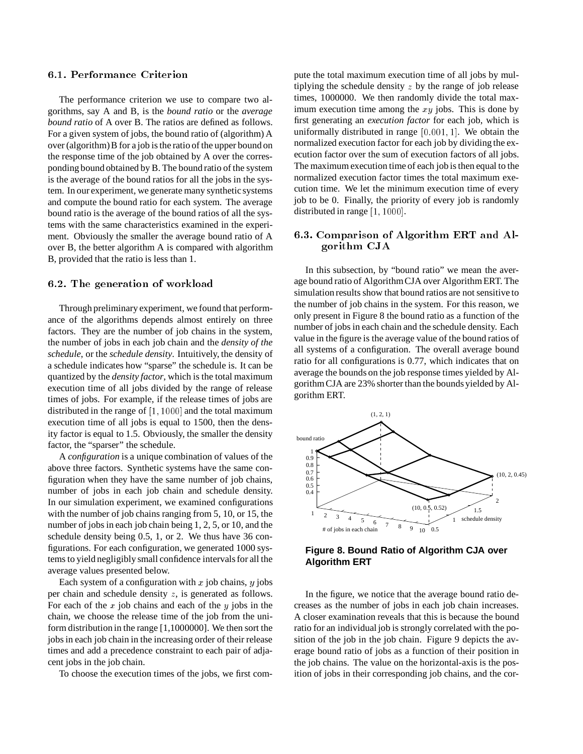# 6.1. Performance Criterion

The performance criterion we use to compare two algorithms, say A and B, is the *bound ratio* or the *average bound ratio* of A over B. The ratios are defined as follows. For a given system of jobs, the bound ratio of (algorithm) A over (algorithm) B for a job is the ratio of the upper bound on the response time of the job obtained by A over the corresponding bound obtained by B. The bound ratio of the system is the average of the bound ratios for all the jobs in the system. In our experiment, we generate many synthetic systems and compute the bound ratio for each system. The average bound ratio is the average of the bound ratios of all the systems with the same characteristics examined in the experiment. Obviously the smaller the average bound ratio of A over B, the better algorithm A is compared with algorithm B, provided that the ratio is less than 1.

### 6.2. The generation of workload

Through preliminary experiment, we found that performance of the algorithms depends almost entirely on three factors. They are the number of job chains in the system, the number of jobs in each job chain and the *density of the schedule*, or the *schedule density*. Intuitively, the density of a schedule indicates how "sparse" the schedule is. It can be quantized by the *density factor*, which is the total maximum execution time of all jobs divided by the range of release times of jobs. For example, if the release times of jobs are distributed in the range of  $[1, 1000]$  and the total maximum execution time of all jobs is equal to 1500, then the density factor is equal to 1.5. Obviously, the smaller the density factor, the "sparser" the schedule.

A *configuration* is a unique combination of values of the above three factors. Synthetic systems have the same configuration when they have the same number of job chains, number of jobs in each job chain and schedule density. In our simulation experiment, we examined configurations with the number of job chains ranging from 5, 10, or 15, the number of jobs in each job chain being 1, 2, 5, or 10, and the schedule density being 0.5, 1, or 2. We thus have 36 configurations. For each configuration, we generated 1000 systems to yield negligibly small confidence intervals for all the average values presented below.

Each system of a configuration with x job chains, y jobs per chain and schedule density <sup>z</sup>, is generated as follows. For each of the x job chains and each of the y jobs in the chain, we choose the release time of the job from the uniform distribution in the range [1,1000000]. We then sort the jobs in each job chain in the increasing order of their release times and add a precedence constraint to each pair of adjacent jobs in the job chain.

To choose the execution times of the jobs, we first com-

pute the total maximum execution time of all jobs by multiplying the schedule density  $z$  by the range of job release times, 1000000. We then randomly divide the total maximum execution time among the  $xy$  jobs. This is done by first generating an *execution factor* for each job, which is uniformally distributed in range  $[0.001, 1]$ . We obtain the normalized execution factor for each job by dividing the execution factor over the sum of execution factors of all jobs. The maximum execution time of each job is then equal to the normalized execution factor times the total maximum execution time. We let the minimum execution time of every job to be 0. Finally, the priority of every job is randomly distributed in range [1, 1000].

# 6.3. Comparison of Algorithm ERT and Algorithm CJA

In this subsection, by "bound ratio" we mean the average bound ratio of AlgorithmCJA over Algorithm ERT. The simulation results show that bound ratios are not sensitive to the number of job chains in the system. For this reason, we only present in Figure 8 the bound ratio as a function of the number of jobs in each chain and the schedule density. Each value in the figure is the average value of the bound ratios of all systems of a configuration. The overall average bound ratio for all configurations is 0.77, which indicates that on average the bounds on the job response times yielded by Algorithm CJA are 23% shorter than the bounds yielded by Algorithm ERT.



**Figure 8. Bound Ratio of Algorithm CJA over Algorithm ERT**

In the figure, we notice that the average bound ratio decreases as the number of jobs in each job chain increases. A closer examination reveals that this is because the bound ratio for an individual job is strongly correlated with the position of the job in the job chain. Figure 9 depicts the average bound ratio of jobs as a function of their position in the job chains. The value on the horizontal-axis is the position of jobs in their corresponding job chains, and the cor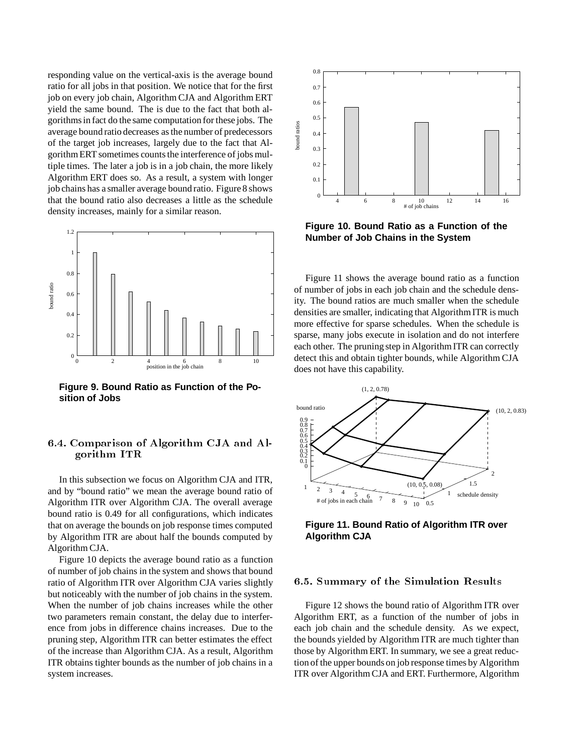responding value on the vertical-axis is the average bound ratio for all jobs in that position. We notice that for the first job on every job chain, Algorithm CJA and Algorithm ERT yield the same bound. The is due to the fact that both algorithms in fact do the same computation for these jobs. The average bound ratio decreases as the number of predecessors of the target job increases, largely due to the fact that Algorithm ERT sometimes counts the interference of jobs multiple times. The later a job is in a job chain, the more likely Algorithm ERT does so. As a result, a system with longer job chains has a smaller average bound ratio. Figure 8 shows that the bound ratio also decreases a little as the schedule density increases, mainly for a similar reason.



**Figure 9. Bound Ratio as Function of the Position of Jobs**

# 6.4. Comparison of Algorithm CJA and Algorithm ITR

In this subsection we focus on Algorithm CJA and ITR, and by "bound ratio" we mean the average bound ratio of Algorithm ITR over Algorithm CJA. The overall average bound ratio is 0.49 for all configurations, which indicates that on average the bounds on job response times computed by Algorithm ITR are about half the bounds computed by Algorithm CJA.

Figure 10 depicts the average bound ratio as a function of number of job chains in the system and shows that bound ratio of Algorithm ITR over Algorithm CJA varies slightly but noticeably with the number of job chains in the system. When the number of job chains increases while the other two parameters remain constant, the delay due to interference from jobs in difference chains increases. Due to the pruning step, Algorithm ITR can better estimates the effect of the increase than Algorithm CJA. As a result, Algorithm ITR obtains tighter bounds as the number of job chains in a system increases.



**Figure 10. Bound Ratio as a Function of the Number of Job Chains in the System**

Figure 11 shows the average bound ratio as a function of number of jobs in each job chain and the schedule density. The bound ratios are much smaller when the schedule densities are smaller, indicating that Algorithm ITR is much more effective for sparse schedules. When the schedule is sparse, many jobs execute in isolation and do not interfere each other. The pruning step in Algorithm ITR can correctly detect this and obtain tighter bounds, while Algorithm CJA does not have this capability.



**Figure 11. Bound Ratio of Algorithm ITR over Algorithm CJA**

### 6.5. Summary of the Simulation Results

Figure 12 shows the bound ratio of Algorithm ITR over Algorithm ERT, as a function of the number of jobs in each job chain and the schedule density. As we expect, the bounds yielded by Algorithm ITR are much tighter than those by Algorithm ERT. In summary, we see a great reduction of the upper bounds on job response times by Algorithm ITR over Algorithm CJA and ERT. Furthermore, Algorithm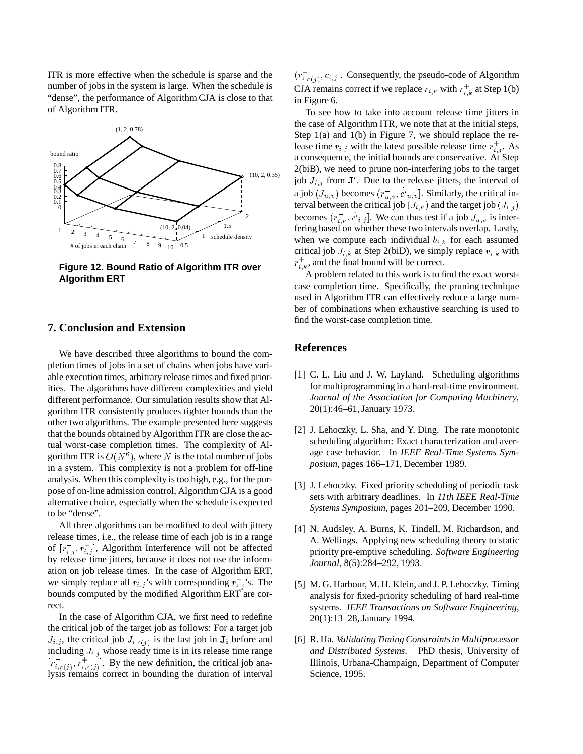ITR is more effective when the schedule is sparse and the number of jobs in the system is large. When the schedule is "dense", the performance of Algorithm CJA is close to that of Algorithm ITR.



**Figure 12. Bound Ratio of Algorithm ITR over Algorithm ERT**

### **7. Conclusion and Extension**

We have described three algorithms to bound the completion times of jobs in a set of chains when jobs have variable execution times, arbitrary release times and fixed priorities. The algorithms have different complexities and yield different performance. Our simulation results show that Algorithm ITR consistently produces tighter bounds than the other two algorithms. The example presented here suggests that the bounds obtained by Algorithm ITR are close the actual worst-case completion times. The complexity of Algorithm ITR is  $O(N^6)$ , where N is the total number of jobs in a system. This complexity is not a problem for off-line analysis. When this complexity is too high, e.g., for the purpose of on-line admission control, Algorithm CJA is a good alternative choice, especially when the schedule is expected to be "dense".

All three algorithms can be modified to deal with jittery release times, i.e., the release time of each job is in a range of  $[r_{i,j}^-, r_{i,j}^+]$ , Algorithm Interference will not be affected by release time jitters, because it does not use the information on job release times. In the case of Algorithm ERT, we simply replace all  $r_{i,j}$ 's with corresponding  $r_{i,j}^+$ 's. The bounds computed by the modified Algorithm ERT are correct.

In the case of Algorithm CJA, we first need to redefine the critical job of the target job as follows: For a target job  $J_{i,j}$ , the critical job  $J_{i,c(j)}$  is the last job in  $J_i$  before and including  $J_{i,j}$  whose ready time is in its release time range  $[r_{i,c(j)}^-, r_{i,c(j)}^+]$ . By the new definition, the critical job analysis remains correct in bounding the duration of interval

 $(r_{i,c(j)}^+, c_{i,j}]$ . Consequently, the pseudo-code of Algorithm CJA remains correct if we replace  $r_{i,k}$  with  $r_{i,k}^+$  at Step 1(b) in Figure 6.

To see how to take into account release time jitters in the case of Algorithm ITR, we note that at the initial steps, Step 1(a) and 1(b) in Figure 7, we should replace the release time  $r_{i,j}$  with the latest possible release time  $r_{i,j}^+$ . As a consequence, the initial bounds are conservative. At Step 2(biB), we need to prune non-interfering jobs to the target job  $J_{i,j}$  from  $J'$ . Due to the release jitters, the interval of a job  $(J_{u,v})$  becomes  $(r_{u,v}^-, c'_{u,v}]$ . Similarly, the critical interval between the critical job  $(J_{i,k})$  and the target job  $(J_{i,j})$ becomes  $(r_{i,k}^-, c'_{i,j}]$ . We can thus test if a job  $J_{u,v}$  is interfering based on whether these two intervals overlap. Lastly, when we compute each individual  $b_{i,k}$  for each assumed critical job  $J_{i,k}$  at Step 2(biD), we simply replace  $r_{i,k}$  with  $r_{i,k}^+$ , and the final bound will be correct.

A problem related to this work is to find the exact worstcase completion time. Specifically, the pruning technique used in Algorithm ITR can effectively reduce a large number of combinations when exhaustive searching is used to find the worst-case completion time.

# **References**

- [1] C. L. Liu and J. W. Layland. Scheduling algorithms for multiprogramming in a hard-real-time environment. *Journal of the Association for Computing Machinery*, 20(1):46–61, January 1973.
- [2] J. Lehoczky, L. Sha, and Y. Ding. The rate monotonic scheduling algorithm: Exact characterization and average case behavior. In *IEEE Real-Time Systems Symposium*, pages 166–171, December 1989.
- [3] J. Lehoczky. Fixed priority scheduling of periodic task sets with arbitrary deadlines. In *11th IEEE Real-Time Systems Symposium*, pages 201–209, December 1990.
- [4] N. Audsley, A. Burns, K. Tindell, M. Richardson, and A. Wellings. Applying new scheduling theory to static priority pre-emptive scheduling. *Software Engineering Journal*, 8(5):284–292, 1993.
- [5] M. G. Harbour, M. H. Klein, and J. P. Lehoczky. Timing analysis for fixed-priority scheduling of hard real-time systems. *IEEE Transactions on Software Engineering*, 20(1):13–28, January 1994.
- [6] R. Ha. *Validating Timing Constraints in Multiprocessor and Distributed Systems*. PhD thesis, University of Illinois, Urbana-Champaign, Department of Computer Science, 1995.